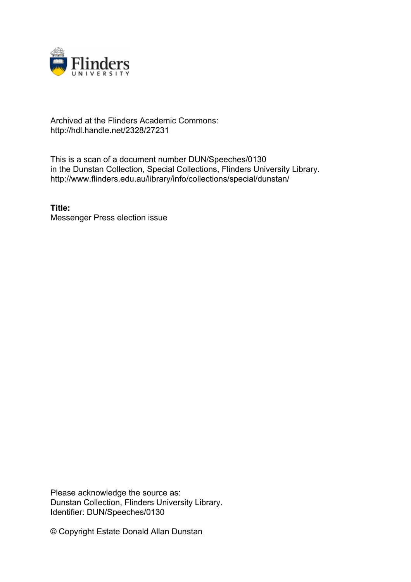

## Archived at the Flinders Academic Commons: http://hdl.handle.net/2328/27231

This is a scan of a document number DUN/Speeches/0130 in the Dunstan Collection, Special Collections, Flinders University Library. http://www.flinders.edu.au/library/info/collections/special/dunstan/

**Title:** Messenger Press election issue

Please acknowledge the source as: Dunstan Collection, Flinders University Library. Identifier: DUN/Speeches/0130

© Copyright Estate Donald Allan Dunstan